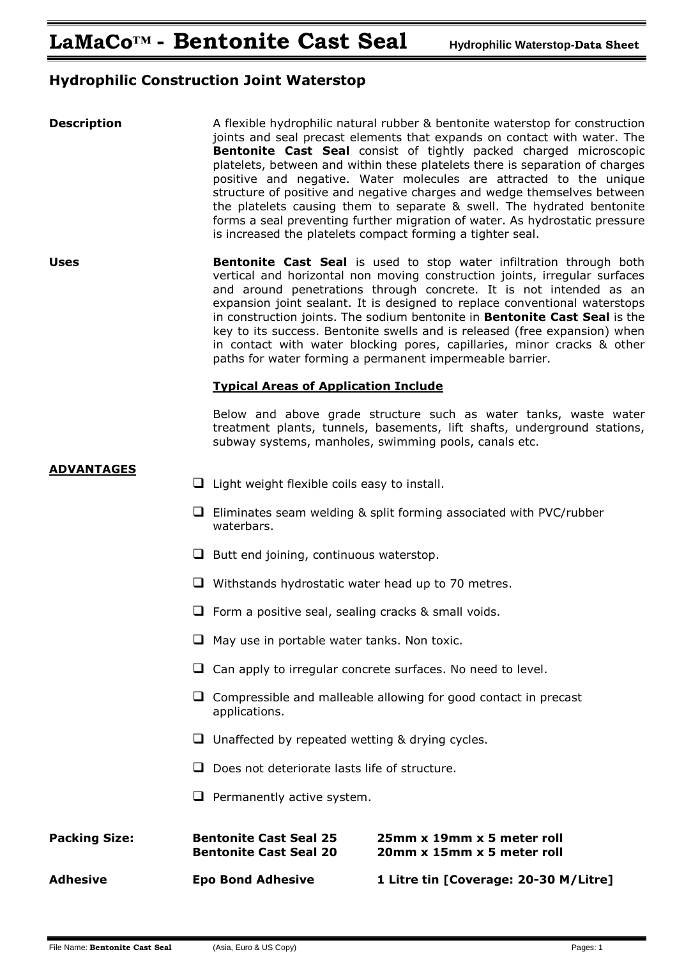# **Hydrophilic Construction Joint Waterstop**

| <b>Description</b>   |   | A flexible hydrophilic natural rubber & bentonite waterstop for construction<br>joints and seal precast elements that expands on contact with water. The<br>Bentonite Cast Seal consist of tightly packed charged microscopic<br>platelets, between and within these platelets there is separation of charges<br>positive and negative. Water molecules are attracted to the unique<br>structure of positive and negative charges and wedge themselves between<br>the platelets causing them to separate & swell. The hydrated bentonite<br>forms a seal preventing further migration of water. As hydrostatic pressure<br>is increased the platelets compact forming a tighter seal. |                                                                                                                                                                                                                                                                                                                                                                                                                                                                                                                                                                                                          |  |
|----------------------|---|---------------------------------------------------------------------------------------------------------------------------------------------------------------------------------------------------------------------------------------------------------------------------------------------------------------------------------------------------------------------------------------------------------------------------------------------------------------------------------------------------------------------------------------------------------------------------------------------------------------------------------------------------------------------------------------|----------------------------------------------------------------------------------------------------------------------------------------------------------------------------------------------------------------------------------------------------------------------------------------------------------------------------------------------------------------------------------------------------------------------------------------------------------------------------------------------------------------------------------------------------------------------------------------------------------|--|
| <b>Uses</b>          |   |                                                                                                                                                                                                                                                                                                                                                                                                                                                                                                                                                                                                                                                                                       | Bentonite Cast Seal is used to stop water infiltration through both<br>vertical and horizontal non moving construction joints, irregular surfaces<br>and around penetrations through concrete. It is not intended as an<br>expansion joint sealant. It is designed to replace conventional waterstops<br>in construction joints. The sodium bentonite in Bentonite Cast Seal is the<br>key to its success. Bentonite swells and is released (free expansion) when<br>in contact with water blocking pores, capillaries, minor cracks & other<br>paths for water forming a permanent impermeable barrier. |  |
|                      |   | <b>Typical Areas of Application Include</b>                                                                                                                                                                                                                                                                                                                                                                                                                                                                                                                                                                                                                                           |                                                                                                                                                                                                                                                                                                                                                                                                                                                                                                                                                                                                          |  |
|                      |   |                                                                                                                                                                                                                                                                                                                                                                                                                                                                                                                                                                                                                                                                                       | Below and above grade structure such as water tanks, waste water<br>treatment plants, tunnels, basements, lift shafts, underground stations,<br>subway systems, manholes, swimming pools, canals etc.                                                                                                                                                                                                                                                                                                                                                                                                    |  |
| <b>ADVANTAGES</b>    |   | $\Box$ Light weight flexible coils easy to install.                                                                                                                                                                                                                                                                                                                                                                                                                                                                                                                                                                                                                                   |                                                                                                                                                                                                                                                                                                                                                                                                                                                                                                                                                                                                          |  |
|                      |   |                                                                                                                                                                                                                                                                                                                                                                                                                                                                                                                                                                                                                                                                                       |                                                                                                                                                                                                                                                                                                                                                                                                                                                                                                                                                                                                          |  |
|                      |   | $\Box$ Eliminates seam welding & split forming associated with PVC/rubber<br>waterbars.                                                                                                                                                                                                                                                                                                                                                                                                                                                                                                                                                                                               |                                                                                                                                                                                                                                                                                                                                                                                                                                                                                                                                                                                                          |  |
|                      |   | $\Box$ Butt end joining, continuous waterstop.                                                                                                                                                                                                                                                                                                                                                                                                                                                                                                                                                                                                                                        |                                                                                                                                                                                                                                                                                                                                                                                                                                                                                                                                                                                                          |  |
|                      |   | $\Box$ Withstands hydrostatic water head up to 70 metres.                                                                                                                                                                                                                                                                                                                                                                                                                                                                                                                                                                                                                             |                                                                                                                                                                                                                                                                                                                                                                                                                                                                                                                                                                                                          |  |
|                      |   | $\Box$ Form a positive seal, sealing cracks & small voids.<br>$\Box$ May use in portable water tanks. Non toxic.<br>$\Box$ Can apply to irregular concrete surfaces. No need to level.<br>$\Box$ Compressible and malleable allowing for good contact in precast<br>applications.<br>$\Box$ Unaffected by repeated wetting & drying cycles.                                                                                                                                                                                                                                                                                                                                           |                                                                                                                                                                                                                                                                                                                                                                                                                                                                                                                                                                                                          |  |
|                      |   |                                                                                                                                                                                                                                                                                                                                                                                                                                                                                                                                                                                                                                                                                       |                                                                                                                                                                                                                                                                                                                                                                                                                                                                                                                                                                                                          |  |
|                      |   |                                                                                                                                                                                                                                                                                                                                                                                                                                                                                                                                                                                                                                                                                       |                                                                                                                                                                                                                                                                                                                                                                                                                                                                                                                                                                                                          |  |
|                      |   |                                                                                                                                                                                                                                                                                                                                                                                                                                                                                                                                                                                                                                                                                       |                                                                                                                                                                                                                                                                                                                                                                                                                                                                                                                                                                                                          |  |
|                      |   |                                                                                                                                                                                                                                                                                                                                                                                                                                                                                                                                                                                                                                                                                       |                                                                                                                                                                                                                                                                                                                                                                                                                                                                                                                                                                                                          |  |
|                      | ப | Does not deteriorate lasts life of structure.                                                                                                                                                                                                                                                                                                                                                                                                                                                                                                                                                                                                                                         |                                                                                                                                                                                                                                                                                                                                                                                                                                                                                                                                                                                                          |  |
|                      |   | $\Box$ Permanently active system.                                                                                                                                                                                                                                                                                                                                                                                                                                                                                                                                                                                                                                                     |                                                                                                                                                                                                                                                                                                                                                                                                                                                                                                                                                                                                          |  |
| <b>Packing Size:</b> |   | <b>Bentonite Cast Seal 25</b><br><b>Bentonite Cast Seal 20</b>                                                                                                                                                                                                                                                                                                                                                                                                                                                                                                                                                                                                                        | 25mm x 19mm x 5 meter roll<br>20mm x 15mm x 5 meter roll                                                                                                                                                                                                                                                                                                                                                                                                                                                                                                                                                 |  |
| <b>Adhesive</b>      |   | <b>Epo Bond Adhesive</b>                                                                                                                                                                                                                                                                                                                                                                                                                                                                                                                                                                                                                                                              | 1 Litre tin [Coverage: 20-30 M/Litre]                                                                                                                                                                                                                                                                                                                                                                                                                                                                                                                                                                    |  |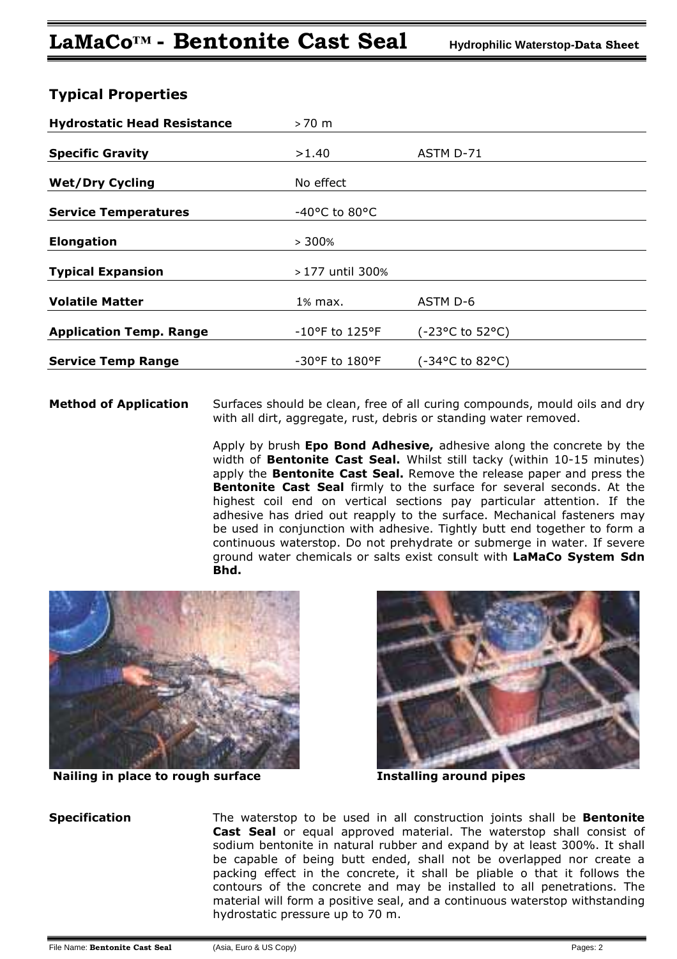| <b>Hydrostatic Head Resistance</b> | $>70$ m           |                                          |
|------------------------------------|-------------------|------------------------------------------|
| <b>Specific Gravity</b>            | >1.40             | ASTM D-71                                |
| <b>Wet/Dry Cycling</b>             | No effect         |                                          |
| <b>Service Temperatures</b>        | -40°C to 80°C     |                                          |
| <b>Elongation</b>                  | >300%             |                                          |
| <b>Typical Expansion</b>           | > 177 until 300%  |                                          |
| <b>Volatile Matter</b>             | 1% max.           | ASTM D-6                                 |
| <b>Application Temp. Range</b>     | -10°F to 125°F    | $(-23°C \text{ to } 52°C)$               |
| <b>Service Temp Range</b>          | $-30$ °F to 180°F | $(-34^{\circ}C \text{ to } 82^{\circ}C)$ |

## **Typical Properties**

**Method of Application** Surfaces should be clean, free of all curing compounds, mould oils and dry with all dirt, aggregate, rust, debris or standing water removed.

> Apply by brush **Epo Bond Adhesive,** adhesive along the concrete by the width of **Bentonite Cast Seal.** Whilst still tacky (within 10-15 minutes) apply the **Bentonite Cast Seal.** Remove the release paper and press the **Bentonite Cast Seal** firmly to the surface for several seconds. At the highest coil end on vertical sections pay particular attention. If the adhesive has dried out reapply to the surface. Mechanical fasteners may be used in conjunction with adhesive. Tightly butt end together to form a continuous waterstop. Do not prehydrate or submerge in water. If severe ground water chemicals or salts exist consult with **LaMaCo System Sdn Bhd.**



**Nailing in place to rough surface The Set Left State Installing around pipes** 



**Specification** The waterstop to be used in all construction joints shall be **Bentonite Cast Seal** or equal approved material. The waterstop shall consist of sodium bentonite in natural rubber and expand by at least 300%. It shall be capable of being butt ended, shall not be overlapped nor create a packing effect in the concrete, it shall be pliable o that it follows the contours of the concrete and may be installed to all penetrations. The material will form a positive seal, and a continuous waterstop withstanding hydrostatic pressure up to 70 m.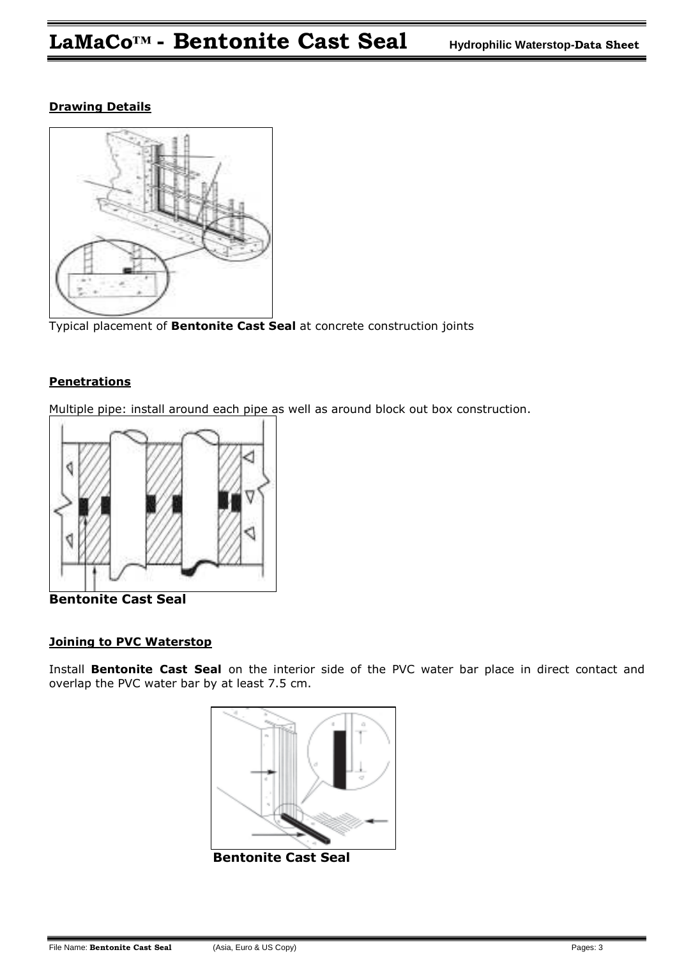### **Drawing Details**



Typical placement of **Bentonite Cast Seal** at concrete construction joints

#### **Penetrations**

Multiple pipe: install around each pipe as well as around block out box construction.



**Bentonite Cast Seal** 

#### **Joining to PVC Waterstop**

Install **Bentonite Cast Seal** on the interior side of the PVC water bar place in direct contact and overlap the PVC water bar by at least 7.5 cm.



**Bentonite Cast Seal**